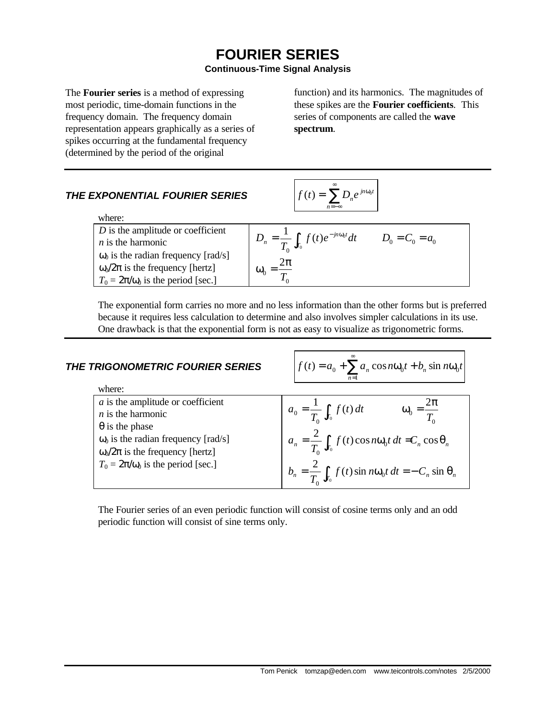# **FOURIER SERIES**

# **Continuous-Time Signal Analysis**

The **Fourier series** is a method of expressing most periodic, time-domain functions in the frequency domain. The frequency domain representation appears graphically as a series of spikes occurring at the fundamental frequency (determined by the period of the original

function) and its harmonics. The magnitudes of these spikes are the **Fourier coefficients**. This series of components are called the **wave spectrum**.

# **THE EXPONENTIAL FOURIER SERIES**

#### where:

| where:                                                                                 |                                                          |                   |
|----------------------------------------------------------------------------------------|----------------------------------------------------------|-------------------|
| $D$ is the amplitude or coefficient<br>$n$ is the harmonic                             | $D_n = \frac{1}{T} \int_{T_0} f(t) e^{-jn\omega_0 t} dt$ | $D_0 = C_0 = a_0$ |
| $\omega_0$ is the radian frequency [rad/s]<br>$\omega_0/2\pi$ is the frequency [hertz] | $\frac{2\pi}{\pi}$<br>$\omega_0$                         |                   |
| $T_0 = 2\pi/\omega_0$ is the period [sec.]                                             |                                                          |                   |

∞

 $f(t) = \sum D_n e^{jn\omega_0}$ 

=−∞  $= \sum D_n e^{jn\omega}$ 

 $jn\omega_0 t$ 

*n*

The exponential form carries no more and no less information than the other forms but is preferred because it requires less calculation to determine and also involves simpler calculations in its use. One drawback is that the exponential form is not as easy to visualize as trigonometric forms.

| THE TRIGONOMETRIC FOURIER SERIES                                                                                                                                                                                            | $f(t) = a_0 + \sum a_n \cos n\omega_0 t + b_n \sin n\omega_0 t$<br>$n=1$                                                                                                                                                                      |
|-----------------------------------------------------------------------------------------------------------------------------------------------------------------------------------------------------------------------------|-----------------------------------------------------------------------------------------------------------------------------------------------------------------------------------------------------------------------------------------------|
| where:                                                                                                                                                                                                                      |                                                                                                                                                                                                                                               |
| $a$ is the amplitude or coefficient<br>$n$ is the harmonic<br>$\theta$ is the phase<br>$\omega_0$ is the radian frequency [rad/s]<br>$\omega_0/2\pi$ is the frequency [hertz]<br>$T_0 = 2\pi/\omega_0$ is the period [sec.] | $\omega_0 = \frac{2\pi}{T}$<br>$a_0 = \frac{1}{T_0} \int_{T_0} f(t) dt$<br>$a_n = \frac{2}{T_n} \int_{T_0} f(t) \cos n\omega_0 t \, dt = C_n \cos \theta_n$<br>$b_n = \frac{2}{T_n} \int_{T_0} f(t) \sin n\omega_0 t dt = -C_n \sin \theta_n$ |

The Fourier series of an even periodic function will consist of cosine terms only and an odd periodic function will consist of sine terms only.